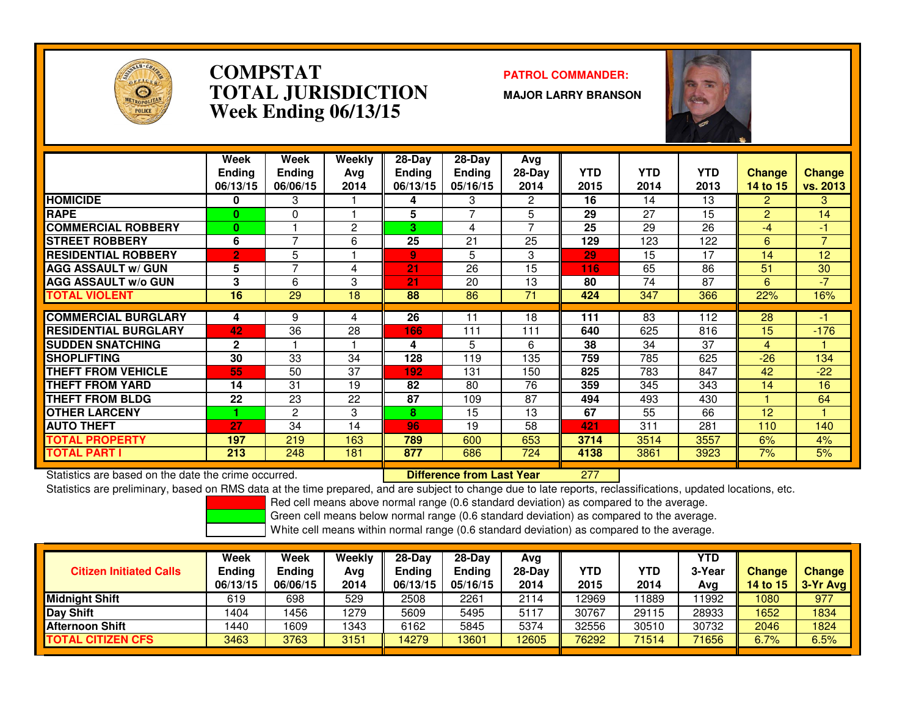

### **COMPSTAT PATROL COMMANDER: TOTAL JURISDICTIONWeek Ending 06/13/15**

**MAJOR LARRY BRANSON**



|                             | Week<br><b>Ending</b><br>06/13/15 | Week<br><b>Ending</b><br>06/06/15 | Weekly<br>Ava<br>2014 | $28-Dav$<br><b>Ending</b><br>06/13/15 | $28-Day$<br><b>Ending</b><br>05/16/15 | Avg<br>$28-Day$<br>2014 | <b>YTD</b><br>2015 | <b>YTD</b><br>2014 | <b>YTD</b><br>2013 | <b>Change</b><br>14 to 15 | <b>Change</b><br>vs. 2013 |
|-----------------------------|-----------------------------------|-----------------------------------|-----------------------|---------------------------------------|---------------------------------------|-------------------------|--------------------|--------------------|--------------------|---------------------------|---------------------------|
| <b>HOMICIDE</b>             | 0                                 | 3                                 |                       | 4                                     | 3                                     | 2                       | 16                 | 14                 | 13                 | $\overline{2}$            | 3                         |
| <b>RAPE</b>                 | $\mathbf{0}$                      | 0                                 |                       | 5                                     | 7                                     | 5                       | 29                 | 27                 | 15                 | $\overline{2}$            | 14                        |
| <b>COMMERCIAL ROBBERY</b>   | $\mathbf{0}$                      |                                   | 2                     | 3                                     | 4                                     | $\overline{ }$          | 25                 | 29                 | 26                 | -4                        | -1                        |
| <b>STREET ROBBERY</b>       | 6                                 | 7                                 | 6                     | 25                                    | 21                                    | 25                      | 129                | 123                | 122                | 6                         | $\overline{7}$            |
| <b>RESIDENTIAL ROBBERY</b>  | $\overline{2}$                    | 5                                 |                       | $\overline{9}$                        | 5                                     | 3                       | 29                 | 15                 | 17                 | 14                        | 12                        |
| <b>AGG ASSAULT w/ GUN</b>   | 5                                 | 7                                 | 4                     | 21                                    | $\overline{26}$                       | 15                      | 116                | 65                 | 86                 | 51                        | 30                        |
| <b>AGG ASSAULT w/o GUN</b>  | 3                                 | 6                                 | 3                     | 21                                    | 20                                    | 13                      | 80                 | 74                 | 87                 | 6                         | $-7$                      |
| <b>TOTAL VIOLENT</b>        | 16                                | 29                                | 18                    | 88                                    | 86                                    | 71                      | 424                | 347                | 366                | 22%                       | 16%                       |
|                             |                                   |                                   |                       |                                       |                                       |                         |                    |                    |                    |                           |                           |
| <b>COMMERCIAL BURGLARY</b>  | 4                                 | 9                                 | 4                     | 26                                    | 11                                    | 18                      | 111                | 83                 | 112                | 28                        | -1                        |
| <b>RESIDENTIAL BURGLARY</b> | 42                                | 36                                | 28                    | 166                                   | 111                                   | 111                     | 640                | 625                | 816                | 15                        | $-176$                    |
| <b>SUDDEN SNATCHING</b>     | $\mathbf{2}$                      |                                   |                       | 4                                     | 5                                     | 6                       | 38                 | 34                 | 37                 | 4                         |                           |
| <b>SHOPLIFTING</b>          | 30                                | 33                                | 34                    | 128                                   | 119                                   | 135                     | 759                | 785                | 625                | $-26$                     | 134                       |
| <b>THEFT FROM VEHICLE</b>   | 55                                | 50                                | 37                    | 192                                   | 131                                   | 150                     | 825                | 783                | 847                | 42                        | $-22$                     |
| <b>THEFT FROM YARD</b>      | 14                                | 31                                | 19                    | 82                                    | 80                                    | 76                      | 359                | 345                | 343                | 14                        | 16                        |
| <b>THEFT FROM BLDG</b>      | 22                                | 23                                | 22                    | 87                                    | 109                                   | 87                      | 494                | 493                | 430                |                           | 64                        |
| <b>OTHER LARCENY</b>        |                                   | 2                                 | 3                     | 8                                     | 15                                    | 13                      | 67                 | 55                 | 66                 | 12                        |                           |
| <b>AUTO THEFT</b>           | 27                                | 34                                | 14                    | 96                                    | 19                                    | 58                      | 421                | 311                | 281                | 110                       | 140                       |
| TOTAL PROPERTY              | 197                               | 219                               | 163                   | 789                                   | 600                                   | 653                     | 3714               | 3514               | 3557               | 6%                        | 4%                        |
| <b>TOTAL PART I</b>         | 213                               | 248                               | 181                   | 877                                   | 686                                   | 724                     | 4138               | 3861               | 3923               | 7%                        | 5%                        |

Statistics are based on the date the crime occurred. **Difference from Last Year** 

Statistics are based on the date the crime occurred. **Interpree the Supersed Conference from Last Year No. 277 I**<br>Statistics are preliminary, based on RMS data at the time prepared, and are subject to change due to late re

Red cell means above normal range (0.6 standard deviation) as compared to the average.

Green cell means below normal range (0.6 standard deviation) as compared to the average.

| <b>Citizen Initiated Calls</b> | Week<br>Ending<br>06/13/15 | Week<br>Ending<br>06/06/15 | Weekly<br>Avg<br>2014 | $28-Dav$<br><b>Ending</b><br>06/13/15 | $28-Day$<br><b>Ending</b><br>05/16/15 | Avg<br>$28-Dav$<br>2014 | YTD<br>2015 | YTD<br>2014 | YTD<br>3-Year<br>Avg | <b>Change</b><br><b>14 to 15</b> | Change<br>3-Yr Avg |
|--------------------------------|----------------------------|----------------------------|-----------------------|---------------------------------------|---------------------------------------|-------------------------|-------------|-------------|----------------------|----------------------------------|--------------------|
| <b>Midnight Shift</b>          | 619                        | 698                        | 529                   | 2508                                  | 2261                                  | 2114                    | 12969       | 1889        | 11992                | 1080                             | 977                |
| Day Shift                      | 1404                       | 456                        | 1279                  | 5609                                  | 5495                                  | 5117                    | 30767       | 29115       | 28933                | 1652                             | 1834               |
| <b>Afternoon Shift</b>         | 1440                       | 1609                       | 1343                  | 6162                                  | 5845                                  | 5374                    | 32556       | 30510       | 30732                | 2046                             | 1824               |
| <b>TOTAL CITIZEN CFS</b>       | 3463                       | 3763                       | 3151                  | 14279                                 | 13601                                 | 12605                   | 76292       | 71514       | 71656                | 6.7%                             | 6.5%               |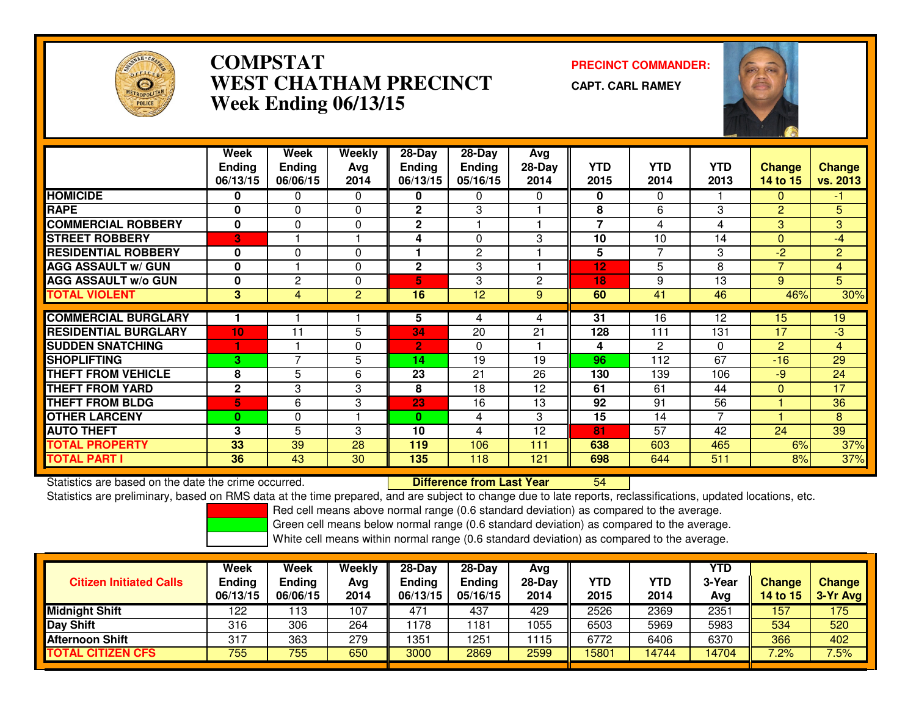

# **COMPSTAT PRECINCT COMMANDER: WEST CHATHAM PRECINCTWeek Ending 06/13/15**

**CAPT. CARL RAMEY**



|                             | Week          | Week           | <b>Weekly</b> | $28 - Day$     | $28 - Day$     | Avg      |                |                |                |                |                |
|-----------------------------|---------------|----------------|---------------|----------------|----------------|----------|----------------|----------------|----------------|----------------|----------------|
|                             | <b>Ending</b> | Ending         | Avg           | <b>Ending</b>  | <b>Ending</b>  | $28-Day$ | <b>YTD</b>     | <b>YTD</b>     | <b>YTD</b>     | <b>Change</b>  | <b>Change</b>  |
|                             | 06/13/15      | 06/06/15       | 2014          | 06/13/15       | 05/16/15       | 2014     | 2015           | 2014           | 2013           | 14 to 15       | vs. 2013       |
| <b>HOMICIDE</b>             | 0             | 0              | $\Omega$      | 0              | 0              | 0        | 0              | 0              |                | 0              | -1.            |
| <b>RAPE</b>                 | $\bf{0}$      | $\Omega$       | $\Omega$      | $\mathbf{2}$   | 3              |          | 8              | 6              | 3              | $\overline{2}$ | 5              |
| <b>COMMERCIAL ROBBERY</b>   | $\mathbf{0}$  | $\Omega$       | $\Omega$      | $\mathbf{2}$   |                |          | $\overline{7}$ | 4              | 4              | 3              | 3              |
| <b>STREET ROBBERY</b>       | 3             |                |               | 4              | 0              | 3        | 10             | 10             | 14             | $\Omega$       | $-4$           |
| <b>RESIDENTIAL ROBBERY</b>  | $\bf{0}$      | $\Omega$       | $\Omega$      | 1              | $\overline{2}$ |          | 5              | $\overline{7}$ | 3              | $-2$           | $\overline{2}$ |
| <b>AGG ASSAULT w/ GUN</b>   | $\bf{0}$      |                | $\Omega$      | $\mathbf{2}$   | 3              |          | 12             | 5              | 8              | $\overline{7}$ | $\overline{4}$ |
| <b>AGG ASSAULT w/o GUN</b>  | $\bf{0}$      | $\overline{2}$ | $\Omega$      | 5              | 3              | 2        | 18             | 9              | 13             | 9              | $\overline{5}$ |
| <b>TOTAL VIOLENT</b>        | 3             | 4              | 2             | 16             | 12             | 9        | 60             | 41             | 46             | 46%            | 30%            |
|                             |               |                |               |                |                |          |                |                |                |                |                |
| <b>COMMERCIAL BURGLARY</b>  |               |                |               | 5              | 4              | 4        | 31             | 16             | 12             | 15             | 19             |
| <b>RESIDENTIAL BURGLARY</b> | 10            | 11             | 5             | 34             | 20             | 21       | 128            | 111            | 131            | 17             | -3             |
| <b>SUDDEN SNATCHING</b>     |               |                | $\mathbf 0$   | $\overline{2}$ | 0              |          | 4              | $\mathbf{2}$   | $\Omega$       | $\overline{2}$ | $\overline{4}$ |
| <b>SHOPLIFTING</b>          | 3             | $\overline{ }$ | 5             | 14             | 19             | 19       | 96             | 112            | 67             | $-16$          | 29             |
| <b>THEFT FROM VEHICLE</b>   | 8             | 5              | 6             | 23             | 21             | 26       | 130            | 139            | 106            | $-9$           | 24             |
| <b>THEFT FROM YARD</b>      | $\mathbf{2}$  | 3              | 3             | 8              | 18             | 12       | 61             | 61             | 44             | $\Omega$       | 17             |
| <b>THEFT FROM BLDG</b>      | 5             | 6              | 3             | 23             | 16             | 13       | 92             | 91             | 56             |                | 36             |
| <b>OTHER LARCENY</b>        | $\mathbf{0}$  | $\mathbf 0$    |               | 0              | 4              | 3        | 15             | 14             | $\overline{7}$ |                | 8              |
| <b>AUTO THEFT</b>           | 3             | 5              | 3             | 10             | 4              | 12       | 81             | 57             | 42             | 24             | 39             |
| <b>TOTAL PROPERTY</b>       | 33            | 39             | 28            | 119            | 106            | 111      | 638            | 603            | 465            | 6%             | 37%            |
| <b>TOTAL PART I</b>         | 36            | 43             | 30            | 135            | 118            | 121      | 698            | 644            | 511            | 8%             | 37%            |

Statistics are based on the date the crime occurred. **Difference from Last Year**  <sup>54</sup>Statistics are preliminary, based on RMS data at the time prepared, and are subject to change due to late reports, reclassifications, updated locations, etc.

Red cell means above normal range (0.6 standard deviation) as compared to the average.

Green cell means below normal range (0.6 standard deviation) as compared to the average.

| <b>Citizen Initiated Calls</b> | Week<br><b>Ending</b><br>06/13/15 | Week<br><b>Ending</b><br>06/06/15 | Weekly<br>Avg<br>2014 | $28-Dav$<br>Ending<br>06/13/15 | $28-Day$<br><b>Ending</b><br>05/16/15 | Avg<br>$28-Day$<br>2014 | YTD<br>2015 | <b>YTD</b><br>2014 | YTD<br>3-Year<br>Avg | <b>Change</b><br>14 to 15 | <b>Change</b><br>3-Yr Avg |
|--------------------------------|-----------------------------------|-----------------------------------|-----------------------|--------------------------------|---------------------------------------|-------------------------|-------------|--------------------|----------------------|---------------------------|---------------------------|
| <b>Midnight Shift</b>          | 122                               | 13                                | 107                   | 471                            | 437                                   | 429                     | 2526        | 2369               | 2351                 | 157                       | 175                       |
| <b>Day Shift</b>               | 316                               | 306                               | 264                   | 178                            | 181                                   | 1055                    | 6503        | 5969               | 5983                 | 534                       | 520                       |
| Afternoon Shift                | 317                               | 363                               | 279                   | 1351                           | 1251                                  | 1115                    | 6772        | 6406               | 6370                 | 366                       | 402                       |
| <b>TOTAL CITIZEN CFS</b>       | 755                               | 755                               | 650                   | 3000                           | 2869                                  | 2599                    | 15801       | 14744              | 14704                | 7.2%                      | 7.5%                      |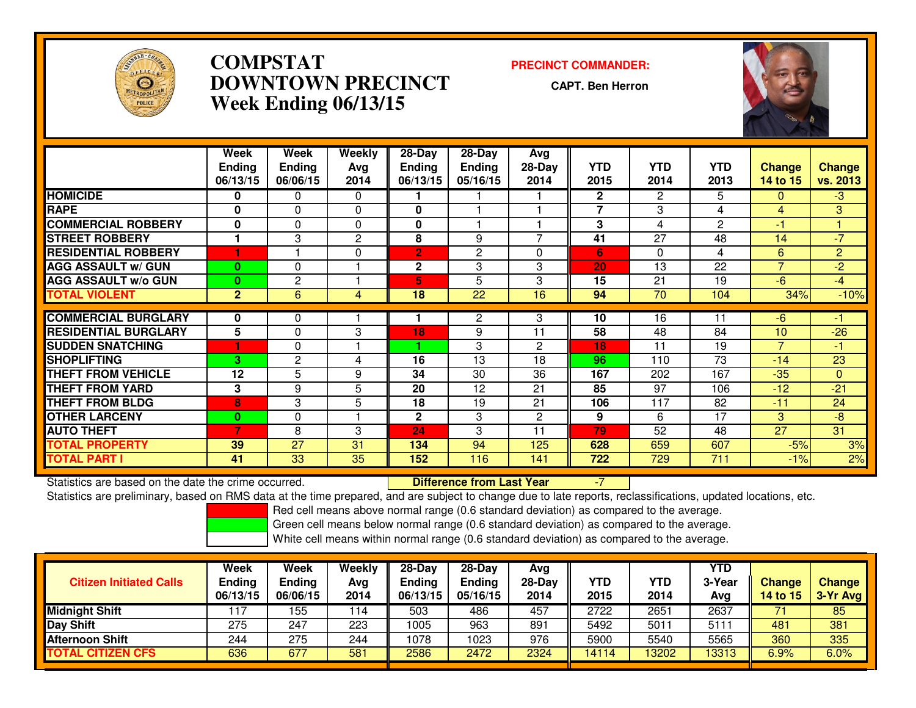

# **COMPSTAT PRECINCT COMMANDER: DOWNTOWN PRECINCTWeek Ending 06/13/15**

**CAPT. Ben Herron**



|                             | Week           | Week           | Weekly       | $28 - Day$     | $28 - Day$      | <b>Avg</b>     |              |                 |              |                |                |
|-----------------------------|----------------|----------------|--------------|----------------|-----------------|----------------|--------------|-----------------|--------------|----------------|----------------|
|                             | <b>Ending</b>  | <b>Ending</b>  | Avg          | <b>Ending</b>  | <b>Ending</b>   | $28-Day$       | <b>YTD</b>   | <b>YTD</b>      | <b>YTD</b>   | <b>Change</b>  | <b>Change</b>  |
|                             | 06/13/15       | 06/06/15       | 2014         | 06/13/15       | 05/16/15        | 2014           | 2015         | 2014            | 2013         | 14 to 15       | vs. 2013       |
| <b>HOMICIDE</b>             | 0              | 0              | $\Omega$     |                |                 |                | $\mathbf{2}$ | $\overline{2}$  | 5            | 0              | $-3$           |
| <b>RAPE</b>                 | $\mathbf{0}$   | $\Omega$       | $\Omega$     | $\bf{0}$       |                 |                | 7            | 3               | 4            | 4              | 3              |
| <b>COMMERCIAL ROBBERY</b>   | 0              | $\Omega$       | 0            | $\mathbf{0}$   |                 |                | 3            | 4               | $\mathbf{2}$ | -1             |                |
| <b>STREET ROBBERY</b>       |                | 3              | $\mathbf{2}$ | 8              | 9               | 7              | 41           | 27              | 48           | 14             | $-7$           |
| <b>RESIDENTIAL ROBBERY</b>  |                |                | $\Omega$     | $\overline{2}$ | 2               | 0              | 6            | $\Omega$        | 4            | 6              | $\overline{2}$ |
| <b>AGG ASSAULT w/ GUN</b>   | $\mathbf{0}$   | 0              |              | 2              | 3               | 3              | 20           | 13              | 22           | $\overline{7}$ | $-2$           |
| <b>AGG ASSAULT w/o GUN</b>  | $\mathbf{0}$   | 2              |              | 5              | 5               | 3              | 15           | 21              | 19           | $-6$           | $-4$           |
| <b>TOTAL VIOLENT</b>        | 2 <sup>1</sup> | 6              | 4            | 18             | $\overline{22}$ | 16             | 94           | $\overline{70}$ | 104          | 34%            | $-10%$         |
|                             |                |                |              |                |                 |                |              |                 |              |                |                |
| <b>COMMERCIAL BURGLARY</b>  | $\bf{0}$       | 0              |              |                | $\mathbf{2}$    | 3              | 10           | 16              | 11           | $-6$           | -1             |
| <b>RESIDENTIAL BURGLARY</b> | 5              | $\Omega$       | 3            | 18             | 9               | 11             | 58           | 48              | 84           | 10             | $-26$          |
| <b>SUDDEN SNATCHING</b>     |                | 0              |              |                | 3               | 2              | 18           | 11              | 19           | $\overline{7}$ | -1             |
| <b>SHOPLIFTING</b>          | 3              | $\overline{2}$ | 4            | 16             | 13              | 18             | 96           | 110             | 73           | $-14$          | 23             |
| <b>THEFT FROM VEHICLE</b>   | 12             | 5              | 9            | 34             | 30              | 36             | 167          | 202             | 167          | $-35$          | $\Omega$       |
| <b>THEFT FROM YARD</b>      | 3              | 9              | 5            | 20             | 12              | 21             | 85           | 97              | 106          | $-12$          | $-21$          |
| <b>THEFT FROM BLDG</b>      | 8              | 3              | 5            | 18             | 19              | 21             | 106          | 117             | 82           | $-11$          | 24             |
| <b>OTHER LARCENY</b>        | $\bf{0}$       | $\Omega$       |              | $\mathbf{2}$   | 3               | $\overline{2}$ | 9            | 6               | 17           | 3              | $-8$           |
| <b>AUTO THEFT</b>           | 7              | 8              | 3            | 24             | 3               | 11             | 79           | 52              | 48           | 27             | 31             |
| <b>TOTAL PROPERTY</b>       | 39             | 27             | 31           | 134            | 94              | 125            | 628          | 659             | 607          | $-5%$          | 3%             |
| <b>TOTAL PART I</b>         | 41             | 33             | 35           | 152            | 116             | 141            | 722          | 729             | 711          | $-1%$          | 2%             |

Statistics are based on the date the crime occurred. **Difference from Last Year** Statistics are based on the date the crime occurred.<br>Statistics are preliminary, based on RMS data at the time prepared, and are subject to change due to late reports, reclassifications, updated locations, etc.

Red cell means above normal range (0.6 standard deviation) as compared to the average.

Green cell means below normal range (0.6 standard deviation) as compared to the average.

| <b>Citizen Initiated Calls</b> | Week<br><b>Ending</b><br>06/13/15 | Week<br><b>Ending</b><br>06/06/15 | Weekly<br>Avg<br>2014 | $28-Day$<br>Ending<br>06/13/15 | $28-Day$<br><b>Ending</b><br>05/16/15 | Avg<br>$28-Day$<br>2014 | YTD<br>2015 | <b>YTD</b><br>2014 | YTD<br>3-Year<br>Avg | <b>Change</b><br><b>14 to 15</b> | Change<br>3-Yr Avg |
|--------------------------------|-----------------------------------|-----------------------------------|-----------------------|--------------------------------|---------------------------------------|-------------------------|-------------|--------------------|----------------------|----------------------------------|--------------------|
| <b>Midnight Shift</b>          |                                   | 155                               | 114                   | 503                            | 486                                   | 457                     | 2722        | 2651               | 2637                 |                                  | 85                 |
| <b>Day Shift</b>               | 275                               | 247                               | 223                   | 1005                           | 963                                   | 891                     | 5492        | 5011               | $511^{\circ}$        | 481                              | 381                |
| Afternoon Shift                | 244                               | 275                               | 244                   | 1078                           | 1023                                  | 976                     | 5900        | 5540               | 5565                 | 360                              | 335                |
| <b>TOTAL CITIZEN CFS</b>       | 636                               | 677                               | 581                   | 2586                           | 2472                                  | 2324                    | 14114       | 3202               | 13313                | 6.9%                             | 6.0%               |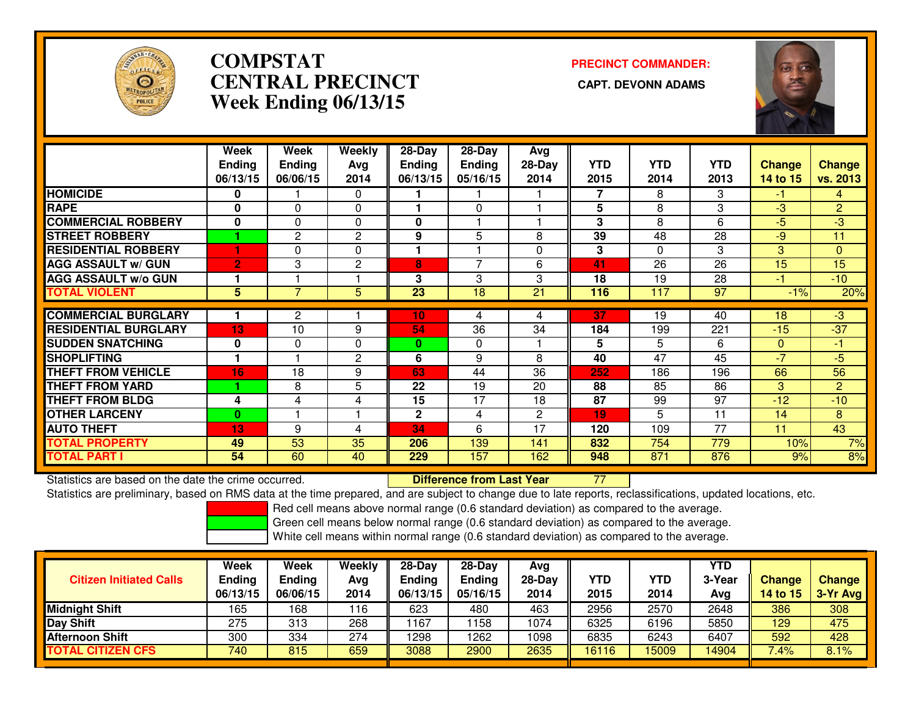

# **COMPSTATCENTRAL PRECINCT Week Ending 06/13/15**

**PRECINCT COMMANDER:**



|                             | Week           | Week           | Weekly         | 28-Day          | 28-Day        | Avg      |            |            |            |               |                 |
|-----------------------------|----------------|----------------|----------------|-----------------|---------------|----------|------------|------------|------------|---------------|-----------------|
|                             | <b>Ending</b>  | <b>Ending</b>  | Avg            | <b>Ending</b>   | <b>Ending</b> | $28-Day$ | <b>YTD</b> | <b>YTD</b> | <b>YTD</b> | <b>Change</b> | <b>Change</b>   |
|                             | 06/13/15       | 06/06/15       | 2014           | 06/13/15        | 05/16/15      | 2014     | 2015       | 2014       | 2013       | 14 to 15      | vs. 2013        |
| <b>HOMICIDE</b>             | 0              |                | $\Omega$       |                 |               |          | 7          | 8          | 3          | -1.           | $\overline{4}$  |
| <b>RAPE</b>                 | $\bf{0}$       | $\Omega$       | $\Omega$       |                 | $\Omega$      |          | 5          | 8          | 3          | $-3$          | $\overline{2}$  |
| <b>COMMERCIAL ROBBERY</b>   | 0              | 0              | 0              | 0               |               |          | 3          | 8          | 6          | -5            | -3              |
| <b>STREET ROBBERY</b>       |                | $\mathbf{2}$   | 2              | 9               | 5             | 8        | 39         | 48         | 28         | -9            | 11              |
| <b>RESIDENTIAL ROBBERY</b>  |                | 0              | $\mathbf 0$    | 1               |               | 0        | 3          | $\Omega$   | 3          | 3             | $\mathbf{0}$    |
| <b>AGG ASSAULT W/ GUN</b>   | $\overline{2}$ | 3              | $\overline{2}$ | 8               | 7             | 6        | 41         | 26         | 26         | 15            | 15              |
| <b>AGG ASSAULT w/o GUN</b>  |                |                |                | 3               | 3             | 3        | 18         | 19         | 28         | -1            | $-10$           |
| <b>TOTAL VIOLENT</b>        | 5.             | $\overline{7}$ | 5              | $\overline{23}$ | 18            | 21       | 116        | 117        | 97         | $-1%$         | 20%             |
| <b>COMMERCIAL BURGLARY</b>  |                | $\overline{2}$ |                | 10              | 4             | 4        | 37         | 19         | 40         | 18            | $-3$            |
| <b>RESIDENTIAL BURGLARY</b> | 13             | 10             | 9              | 54              | 36            | 34       | 184        | 199        | 221        | $-15$         | $-37$           |
| <b>SUDDEN SNATCHING</b>     | $\bf{0}$       | $\Omega$       | $\Omega$       | 0               | 0             |          | 5          | 5          | 6          | $\Omega$      | -1              |
| <b>SHOPLIFTING</b>          |                |                | $\overline{2}$ | 6               | 9             | 8        | 40         | 47         | 45         | $-7$          | -5              |
| <b>THEFT FROM VEHICLE</b>   | 16             | 18             | 9              | 63              | 44            | 36       | 252        | 186        | 196        | 66            | 56              |
| <b>THEFT FROM YARD</b>      |                | 8              | 5              | 22              | 19            | 20       | 88         | 85         | 86         | 3             | $\overline{2}$  |
| <b>THEFT FROM BLDG</b>      | 4              | 4              | 4              | 15              | 17            | 18       | 87         | 99         | 97         | $-12$         | $-10$           |
| <b>OTHER LARCENY</b>        | $\bf{0}$       |                |                | $\mathbf{2}$    | 4             | 2        | 19         | 5.         | 11         | 14            | 8               |
| <b>AUTO THEFT</b>           | 13             | 9              | 4              | 34              | 6             | 17       | 120        | 109        | 77         | 11            | $\overline{43}$ |
| <b>TOTAL PROPERTY</b>       | 49             | 53             | 35             | 206             | 139           | 141      | 832        | 754        | 779        | 10%           | 7%              |
| <b>TOTAL PART I</b>         | 54             | 60             | 40             | 229             | 157           | 162      | 948        | 871        | 876        | 9%            | 8%              |

Statistics are based on the date the crime occurred. **Difference from Last Year** 

Statistics are based on the date the crime occurred.<br>Statistics are preliminary, based on RMS data at the time prepared, and are subject to change due to late reports, reclassifications, updated locations, etc.

Red cell means above normal range (0.6 standard deviation) as compared to the average.

Green cell means below normal range (0.6 standard deviation) as compared to the average.

| <b>Citizen Initiated Calls</b> | Week<br><b>Ending</b><br>06/13/15 | Week<br>Ending<br>06/06/15 | Weekly<br>Avg<br>2014 | $28-Dav$<br><b>Ending</b><br>06/13/15 | $28-Dav$<br><b>Ending</b><br>05/16/15 | Ava<br>$28-Day$<br>2014 | YTD<br>2015 | YTD<br>2014 | YTD<br>3-Year<br>Avg | <b>Change</b><br>14 to 15 | <b>Change</b><br>3-Yr Avg |
|--------------------------------|-----------------------------------|----------------------------|-----------------------|---------------------------------------|---------------------------------------|-------------------------|-------------|-------------|----------------------|---------------------------|---------------------------|
| Midnight Shift                 | 165                               | 168                        | 116                   | 623                                   | 480                                   | 463                     | 2956        | 2570        | 2648                 | 386                       | 308                       |
| Day Shift                      | 275                               | 313                        | 268                   | 167                                   | 158                                   | 1074                    | 6325        | 6196        | 5850                 | 129                       | 475                       |
| Afternoon Shift                | 300                               | 334                        | 274                   | 1298                                  | 262                                   | 1098                    | 6835        | 6243        | 6407                 | 592                       | 428                       |
| TOTAL CITIZEN CFS              | 740                               | 815                        | 659                   | 3088                                  | 2900                                  | 2635                    | 16116       | 15009       | 14904                | 7.4%                      | 8.1%                      |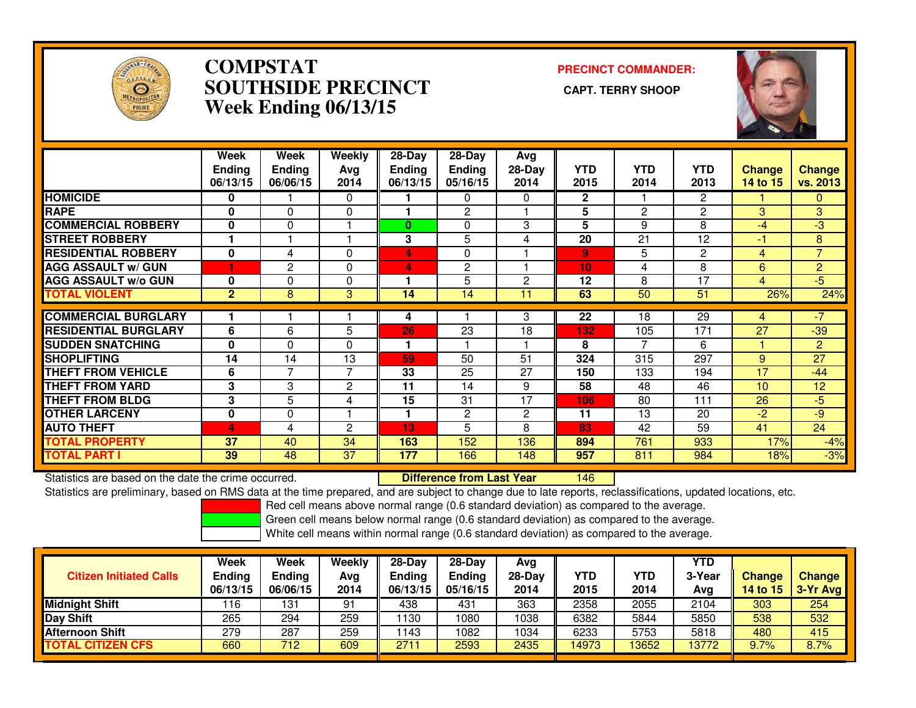

### **COMPSTAT PRECINCT COMMANDER: SOUTHSIDE PRECINCT CAPT. TERRY SHOOPWeek Ending 06/13/15**



|                             | Week<br><b>Ending</b><br>06/13/15 | Week<br><b>Endina</b><br>06/06/15 | Weekly<br>Avg<br>2014 | 28-Day<br><b>Endina</b><br>06/13/15 | $28-Day$<br><b>Ending</b><br>05/16/15 | Avg<br>$28-Day$<br>2014 | <b>YTD</b><br>2015 | <b>YTD</b><br>2014 | <b>YTD</b><br>2013 | <b>Change</b><br>14 to 15 | <b>Change</b><br>vs. 2013 |
|-----------------------------|-----------------------------------|-----------------------------------|-----------------------|-------------------------------------|---------------------------------------|-------------------------|--------------------|--------------------|--------------------|---------------------------|---------------------------|
| <b>HOMICIDE</b>             | 0                                 |                                   | 0                     |                                     | 0                                     | 0                       | $\mathbf{2}$       |                    | $\overline{2}$     |                           | 0                         |
| <b>RAPE</b>                 | $\bf{0}$                          | $\Omega$                          | $\Omega$              |                                     | 2                                     |                         | 5                  | 2                  | 2                  | 3.                        | 3                         |
| <b>COMMERCIAL ROBBERY</b>   | $\bf{0}$                          | $\Omega$                          |                       | 0                                   | 0                                     | 3                       | 5                  | 9                  | 8                  | $-4$                      | -3                        |
| <b>STREET ROBBERY</b>       |                                   |                                   |                       | 3                                   | 5                                     | 4                       | 20                 | 21                 | 12                 | -1                        | 8                         |
| <b>RESIDENTIAL ROBBERY</b>  | $\mathbf{0}$                      | 4                                 | $\Omega$              | 4                                   | 0                                     |                         | $\overline{9}$     | 5                  | $\overline{2}$     | 4                         | $\overline{7}$            |
| <b>AGG ASSAULT w/ GUN</b>   |                                   | $\mathbf{2}$                      | $\Omega$              | 4                                   | 2                                     |                         | 10                 | 4                  | 8                  | 6                         | $\overline{2}$            |
| <b>AGG ASSAULT w/o GUN</b>  | $\bf{0}$                          | 0                                 | 0                     |                                     | 5                                     | $\overline{c}$          | 12                 | 8                  | 17                 | 4                         | $5\phantom{1}$            |
| <b>TOTAL VIOLENT</b>        | $\overline{2}$                    | 8                                 | 3                     | 14                                  | 14                                    | 11                      | 63                 | 50                 | 51                 | 26%                       | 24%                       |
| <b>COMMERCIAL BURGLARY</b>  |                                   |                                   |                       | 4                                   |                                       | 3                       | 22                 | 18                 | 29                 | 4                         | $-7$                      |
|                             |                                   |                                   |                       |                                     |                                       |                         |                    |                    |                    |                           |                           |
| <b>RESIDENTIAL BURGLARY</b> | 6                                 | 6                                 | 5                     | 26                                  | 23                                    | 18                      | 132                | 105                | $\overline{171}$   | $\overline{27}$           | $-39$                     |
| <b>SUDDEN SNATCHING</b>     | $\bf{0}$                          | 0                                 | $\Omega$              | 1                                   |                                       |                         | 8                  | 7                  | 6                  |                           | $\overline{2}$            |
| <b>SHOPLIFTING</b>          | 14                                | 14                                | 13                    | 59                                  | 50                                    | 51                      | 324                | 315                | 297                | 9                         | 27                        |
| <b>THEFT FROM VEHICLE</b>   | 6                                 | 7                                 | 7                     | 33                                  | 25                                    | 27                      | 150                | 133                | 194                | 17                        | $-44$                     |
| <b>THEFT FROM YARD</b>      | 3                                 | 3                                 | 2                     | 11                                  | 14                                    | 9                       | 58                 | 48                 | 46                 | 10                        | 12                        |
| <b>THEFT FROM BLDG</b>      | 3                                 | 5                                 | 4                     | 15                                  | 31                                    | 17                      | 106                | 80                 | 111                | 26                        | $-5$                      |
| <b>OTHER LARCENY</b>        | $\bf{0}$                          | 0                                 |                       | 1                                   | 2                                     | $\overline{2}$          | 11                 | 13                 | 20                 | $-2$                      | -9                        |
| <b>AUTO THEFT</b>           | 4                                 | 4                                 | 2                     | 13                                  | 5                                     | 8                       | 83                 | 42                 | 59                 | 41                        | $\overline{24}$           |
| <b>TOTAL PROPERTY</b>       | 37                                | 40                                | 34                    | 163                                 | 152                                   | 136                     | 894                | 761                | 933                | 17%                       | $-4%$                     |
| <b>TOTAL PART I</b>         | 39                                | 48                                | 37                    | 177                                 | 166                                   | 148                     | 957                | 811                | 984                | 18%                       | $-3%$                     |

Statistics are based on the date the crime occurred. **Difference from Last Year** 

<sup>146</sup>

Statistics are preliminary, based on RMS data at the time prepared, and are subject to change due to late reports, reclassifications, updated locations, etc.

Red cell means above normal range (0.6 standard deviation) as compared to the average.

Green cell means below normal range (0.6 standard deviation) as compared to the average.

| <b>Citizen Initiated Calls</b> | <b>Week</b><br><b>Ending</b><br>06/13/15 | <b>Week</b><br><b>Ending</b><br>06/06/15 | Weekly<br>Avg<br>2014 | $28-Dav$<br><b>Ending</b><br>06/13/15 | $28-Dav$<br><b>Ending</b><br>05/16/15 | Ava<br>28-Dav<br>2014 | YTD<br>2015 | YTD<br>2014 | YTD<br>3-Year<br>Ava | <b>Change</b><br><b>14 to 15</b> | <b>Change</b><br>3-Yr Avg |
|--------------------------------|------------------------------------------|------------------------------------------|-----------------------|---------------------------------------|---------------------------------------|-----------------------|-------------|-------------|----------------------|----------------------------------|---------------------------|
| <b>Midnight Shift</b>          | 116                                      | 131                                      | 91                    | 438                                   | 431                                   | 363                   | 2358        | 2055        | 2104                 | 303                              | 254                       |
| <b>Day Shift</b>               | 265                                      | 294                                      | 259                   | 130                                   | 1080                                  | 1038                  | 6382        | 5844        | 5850                 | 538                              | 532                       |
| <b>Afternoon Shift</b>         | 279                                      | 287                                      | 259                   | 143                                   | 1082                                  | 1034                  | 6233        | 5753        | 5818                 | 480                              | 415                       |
| <b>TOTAL CITIZEN CFS</b>       | 660                                      | 712                                      | 609                   | 2711                                  | 2593                                  | 2435                  | 14973       | 13652       | 13772                | 9.7%                             | 8.7%                      |